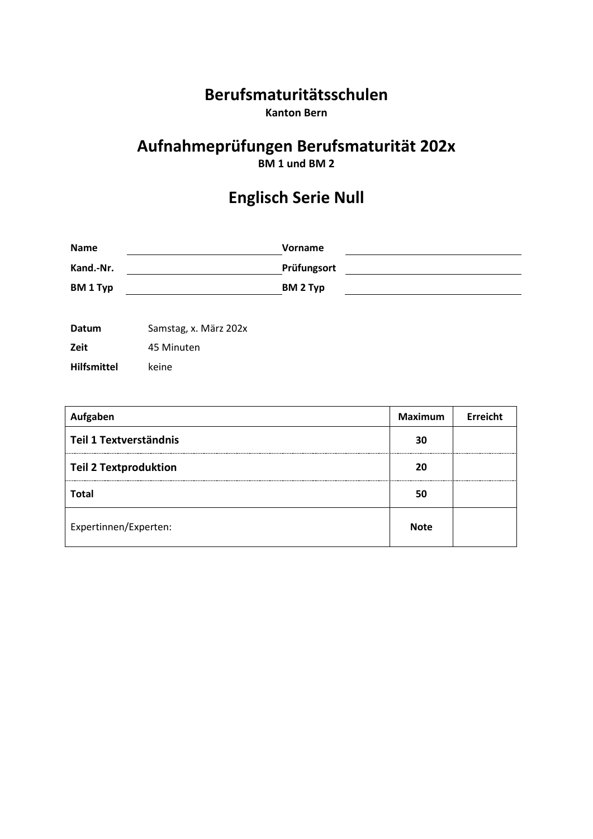# **Berufsmaturitätsschulen**

## **Kanton Bern**

# **Aufnahmeprüfungen Berufsmaturität 202x**

**BM 1 und BM 2**

# **Englisch Serie Null**

| Name            |                     | Vorname         |  |
|-----------------|---------------------|-----------------|--|
| Kand.-Nr.       |                     | Prüfungsort     |  |
| <b>BM 1 Typ</b> |                     | <b>BM 2 Typ</b> |  |
| Datum           | Samstag x März 202x |                 |  |

| Datum              | Jamstag, A. Marz ZUZA |
|--------------------|-----------------------|
| Zeit               | 45 Minuten            |
| <b>Hilfsmittel</b> | keine                 |

| Aufgaben                     | <b>Maximum</b> | Erreicht |
|------------------------------|----------------|----------|
| Teil 1 Textverständnis       | 30             |          |
| <b>Teil 2 Textproduktion</b> |                |          |
| <b>Total</b>                 | 50             |          |
| Expertinnen/Experten:        | <b>Note</b>    |          |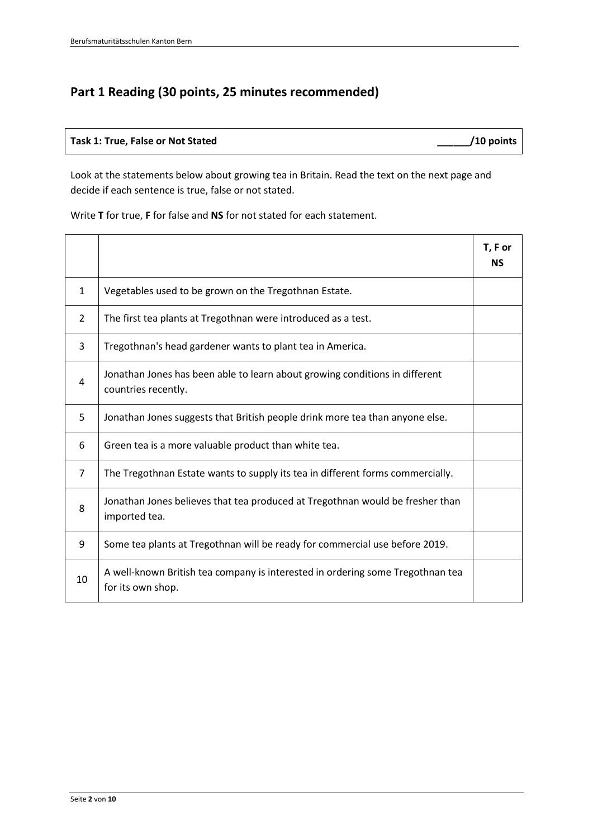## **Part 1 Reading (30 points, 25 minutes recommended)**

**Task 1: True, False or Not Stated \_\_\_\_\_\_/10 points**

Look at the statements below about growing tea in Britain. Read the text on the next page and decide if each sentence is true, false or not stated.

Write **T** for true, **F** for false and **NS** for not stated for each statement.

|              |                                                                                                     | T, F or<br><b>NS</b> |
|--------------|-----------------------------------------------------------------------------------------------------|----------------------|
| $\mathbf{1}$ | Vegetables used to be grown on the Tregothnan Estate.                                               |                      |
| 2            | The first tea plants at Tregothnan were introduced as a test.                                       |                      |
| 3            | Tregothnan's head gardener wants to plant tea in America.                                           |                      |
| 4            | Jonathan Jones has been able to learn about growing conditions in different<br>countries recently.  |                      |
| 5            | Jonathan Jones suggests that British people drink more tea than anyone else.                        |                      |
| 6            | Green tea is a more valuable product than white tea.                                                |                      |
| 7            | The Tregothnan Estate wants to supply its tea in different forms commercially.                      |                      |
| 8            | Jonathan Jones believes that tea produced at Tregothnan would be fresher than<br>imported tea.      |                      |
| 9            | Some tea plants at Tregothnan will be ready for commercial use before 2019.                         |                      |
| 10           | A well-known British tea company is interested in ordering some Tregothnan tea<br>for its own shop. |                      |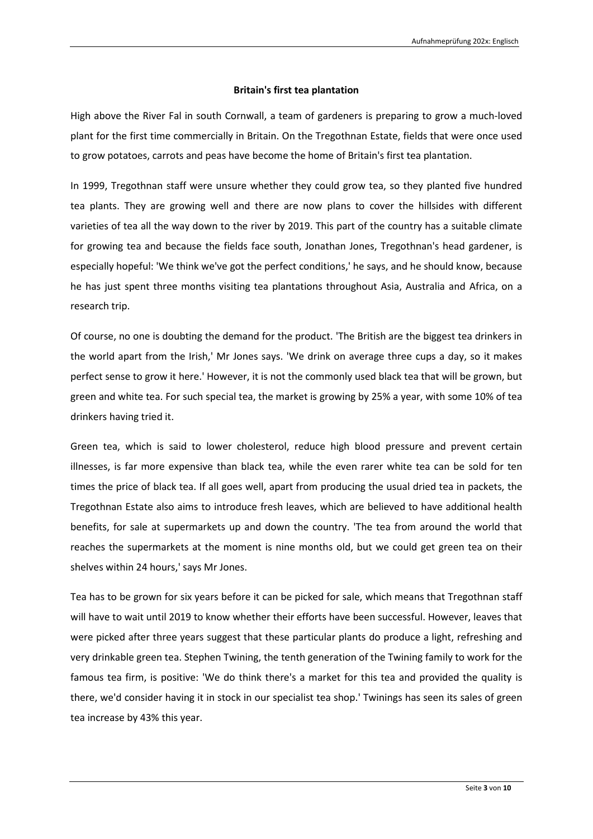#### **Britain's first tea plantation**

High above the River Fal in south Cornwall, a team of gardeners is preparing to grow a much-loved plant for the first time commercially in Britain. On the Tregothnan Estate, fields that were once used to grow potatoes, carrots and peas have become the home of Britain's first tea plantation.

In 1999, Tregothnan staff were unsure whether they could grow tea, so they planted five hundred tea plants. They are growing well and there are now plans to cover the hillsides with different varieties of tea all the way down to the river by 2019. This part of the country has a suitable climate for growing tea and because the fields face south, Jonathan Jones, Tregothnan's head gardener, is especially hopeful: 'We think we've got the perfect conditions,' he says, and he should know, because he has just spent three months visiting tea plantations throughout Asia, Australia and Africa, on a research trip.

Of course, no one is doubting the demand for the product. 'The British are the biggest tea drinkers in the world apart from the Irish,' Mr Jones says. 'We drink on average three cups a day, so it makes perfect sense to grow it here.' However, it is not the commonly used black tea that will be grown, but green and white tea. For such special tea, the market is growing by 25% a year, with some 10% of tea drinkers having tried it.

Green tea, which is said to lower cholesterol, reduce high blood pressure and prevent certain illnesses, is far more expensive than black tea, while the even rarer white tea can be sold for ten times the price of black tea. If all goes well, apart from producing the usual dried tea in packets, the Tregothnan Estate also aims to introduce fresh leaves, which are believed to have additional health benefits, for sale at supermarkets up and down the country. 'The tea from around the world that reaches the supermarkets at the moment is nine months old, but we could get green tea on their shelves within 24 hours,' says Mr Jones.

Tea has to be grown for six years before it can be picked for sale, which means that Tregothnan staff will have to wait until 2019 to know whether their efforts have been successful. However, leaves that were picked after three years suggest that these particular plants do produce a light, refreshing and very drinkable green tea. Stephen Twining, the tenth generation of the Twining family to work for the famous tea firm, is positive: 'We do think there's a market for this tea and provided the quality is there, we'd consider having it in stock in our specialist tea shop.' Twinings has seen its sales of green tea increase by 43% this year.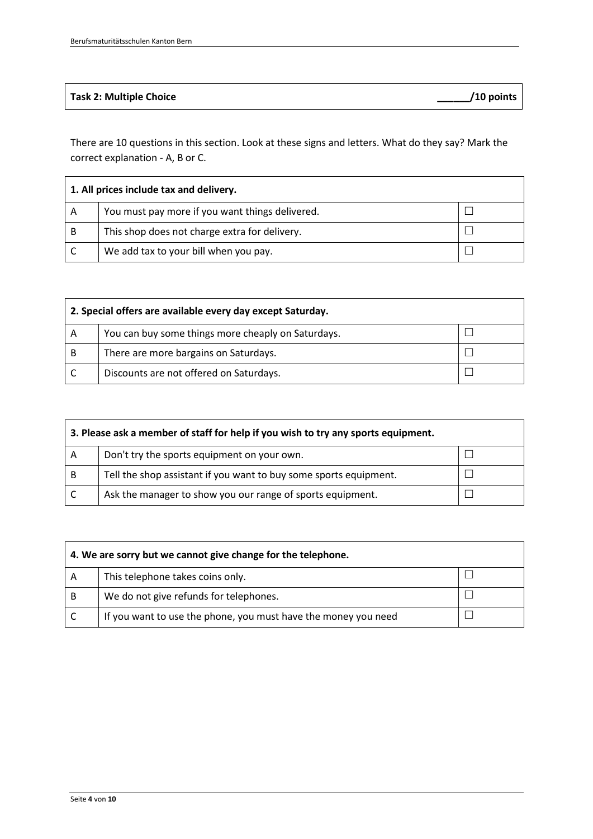## **Task 2: Multiple Choice \_\_\_\_\_\_/10 points**

There are 10 questions in this section. Look at these signs and letters. What do they say? Mark the correct explanation - A, B or C.

| 1. All prices include tax and delivery. |                                                 |  |
|-----------------------------------------|-------------------------------------------------|--|
| A                                       | You must pay more if you want things delivered. |  |
| B                                       | This shop does not charge extra for delivery.   |  |
|                                         | We add tax to your bill when you pay.           |  |

| 2. Special offers are available every day except Saturday. |                                                    |  |
|------------------------------------------------------------|----------------------------------------------------|--|
| A                                                          | You can buy some things more cheaply on Saturdays. |  |
| B                                                          | There are more bargains on Saturdays.              |  |
|                                                            | Discounts are not offered on Saturdays.            |  |

| 3. Please ask a member of staff for help if you wish to try any sports equipment. |                                                                   |  |
|-----------------------------------------------------------------------------------|-------------------------------------------------------------------|--|
| Α                                                                                 | Don't try the sports equipment on your own.                       |  |
| B                                                                                 | Tell the shop assistant if you want to buy some sports equipment. |  |
|                                                                                   | Ask the manager to show you our range of sports equipment.        |  |

| 4. We are sorry but we cannot give change for the telephone. |                                                                |  |
|--------------------------------------------------------------|----------------------------------------------------------------|--|
| Α                                                            | This telephone takes coins only.                               |  |
| B                                                            | We do not give refunds for telephones.                         |  |
|                                                              | If you want to use the phone, you must have the money you need |  |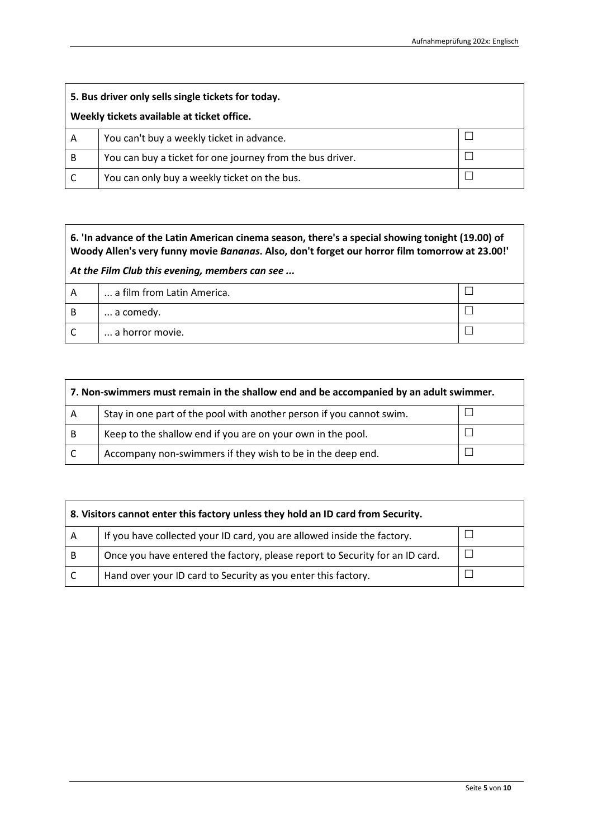| 5. Bus driver only sells single tickets for today. |                                                           |  |
|----------------------------------------------------|-----------------------------------------------------------|--|
| Weekly tickets available at ticket office.         |                                                           |  |
| A                                                  | You can't buy a weekly ticket in advance.                 |  |
| B                                                  | You can buy a ticket for one journey from the bus driver. |  |
| C                                                  | You can only buy a weekly ticket on the bus.              |  |

# **6. 'In advance of the Latin American cinema season, there's a special showing tonight (19.00) of Woody Allen's very funny movie** *Bananas***. Also, don't forget our horror film tomorrow at 23.00!'** *At the Film Club this evening, members can see ...*  A .... a film from Latin America.  $\Box$   $\Box$  a comedy.  $C \qquad \dots$  a horror movie.

| 7. Non-swimmers must remain in the shallow end and be accompanied by an adult swimmer. |                                                                      |  |
|----------------------------------------------------------------------------------------|----------------------------------------------------------------------|--|
| A                                                                                      | Stay in one part of the pool with another person if you cannot swim. |  |
| B                                                                                      | Keep to the shallow end if you are on your own in the pool.          |  |
| C                                                                                      | Accompany non-swimmers if they wish to be in the deep end.           |  |

| 8. Visitors cannot enter this factory unless they hold an ID card from Security. |                                                                              |  |
|----------------------------------------------------------------------------------|------------------------------------------------------------------------------|--|
| $\overline{A}$                                                                   | If you have collected your ID card, you are allowed inside the factory.      |  |
| B                                                                                | Once you have entered the factory, please report to Security for an ID card. |  |
| C                                                                                | Hand over your ID card to Security as you enter this factory.                |  |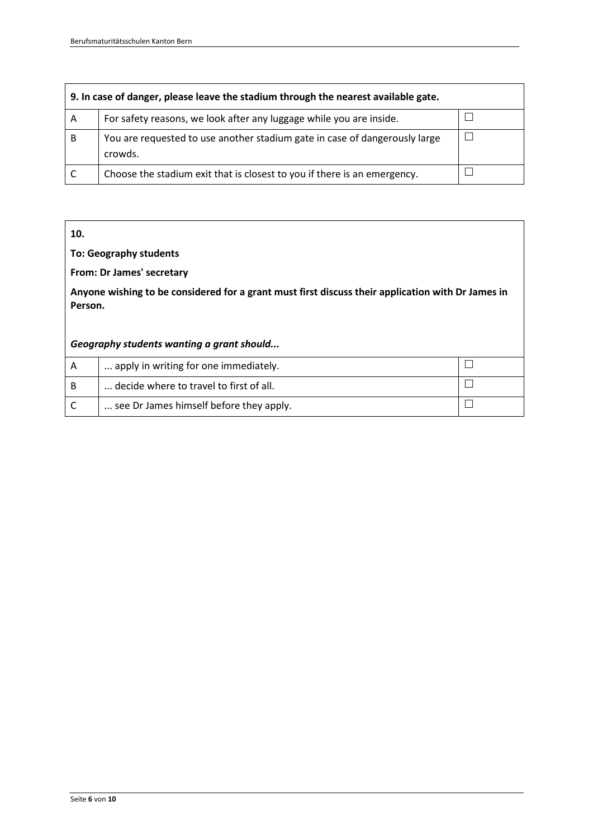| 9. In case of danger, please leave the stadium through the nearest available gate. |                                                                                       |  |
|------------------------------------------------------------------------------------|---------------------------------------------------------------------------------------|--|
| A                                                                                  | For safety reasons, we look after any luggage while you are inside.                   |  |
| B                                                                                  | You are requested to use another stadium gate in case of dangerously large<br>crowds. |  |
|                                                                                    | Choose the stadium exit that is closest to you if there is an emergency.              |  |

## **10.**

## **To: Geography students**

## **From: Dr James' secretary**

**Anyone wishing to be considered for a grant must first discuss their application with Dr James in Person.** 

## *Geography students wanting a grant should...*

| apply in writing for one immediately.   |  |
|-----------------------------------------|--|
| decide where to travel to first of all. |  |
| see Dr James himself before they apply. |  |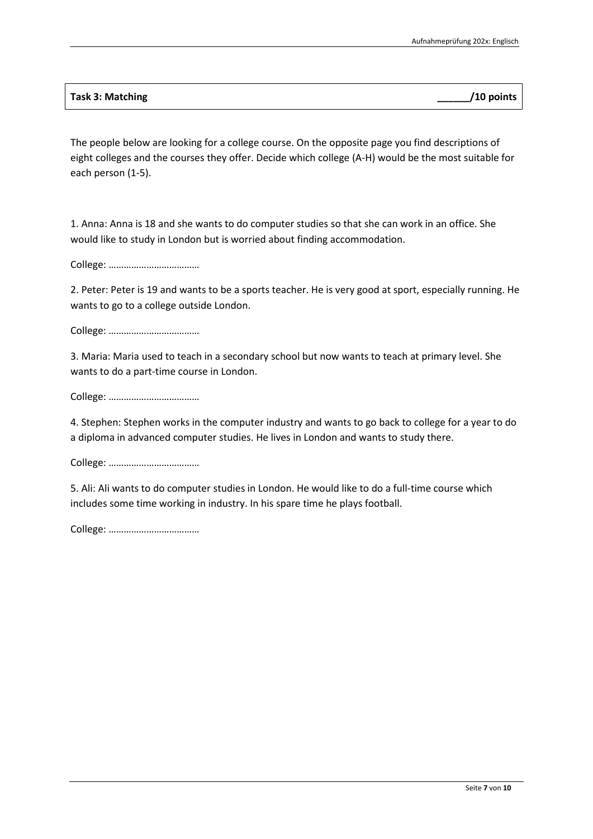## **Task 3: Matching**  *Matching* **<b>***Matching Matching Matching**<b>Matching <i>Matching Matching**Matching**Matching**Matching**Matching**Matching**Matching**Matching**Matching**Matching**Matching**Matc*

The people below are looking for a college course. On the opposite page you find descriptions of eight colleges and the courses they offer. Decide which college (A-H) would be the most suitable for each person (1-5).

1. Anna: Anna is 18 and she wants to do computer studies so that she can work in an office. She would like to study in London but is worried about finding accommodation.

College: ………………………………

2. Peter: Peter is 19 and wants to be a sports teacher. He is very good at sport, especially running. He wants to go to a college outside London.

College: ………………………………

3. Maria: Maria used to teach in a secondary school but now wants to teach at primary level. She wants to do a part-time course in London.

College: ………………………………

4. Stephen: Stephen works in the computer industry and wants to go back to college for a year to do a diploma in advanced computer studies. He lives in London and wants to study there.

College: ………………………………

5. Ali: Ali wants to do computer studies in London. He would like to do a full-time course which includes some time working in industry. In his spare time he plays football.

College: ………………………………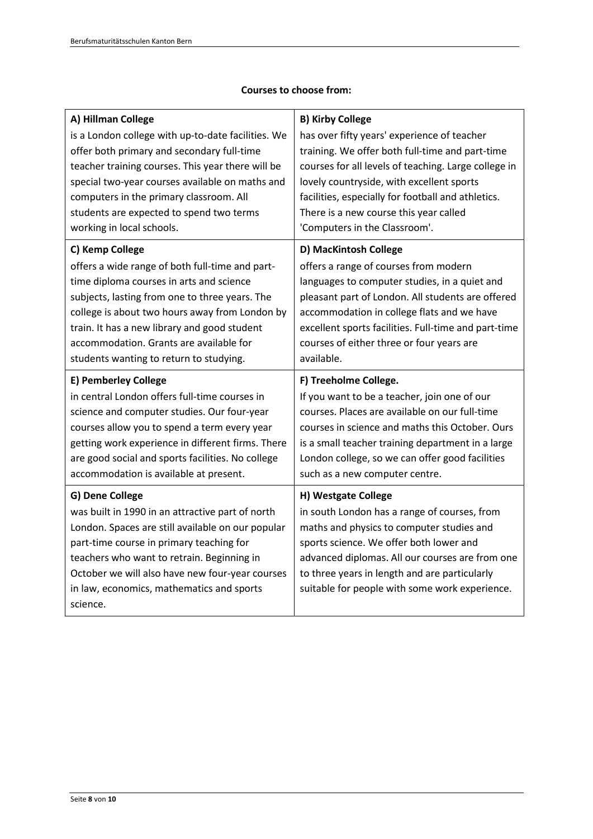| A) Hillman College                                                                                                                                                                                                                                                                                                             | <b>B) Kirby College</b>                                                                                                                                                                                                                                                                                           |
|--------------------------------------------------------------------------------------------------------------------------------------------------------------------------------------------------------------------------------------------------------------------------------------------------------------------------------|-------------------------------------------------------------------------------------------------------------------------------------------------------------------------------------------------------------------------------------------------------------------------------------------------------------------|
| is a London college with up-to-date facilities. We                                                                                                                                                                                                                                                                             | has over fifty years' experience of teacher                                                                                                                                                                                                                                                                       |
| offer both primary and secondary full-time                                                                                                                                                                                                                                                                                     | training. We offer both full-time and part-time                                                                                                                                                                                                                                                                   |
| teacher training courses. This year there will be                                                                                                                                                                                                                                                                              | courses for all levels of teaching. Large college in                                                                                                                                                                                                                                                              |
| special two-year courses available on maths and                                                                                                                                                                                                                                                                                | lovely countryside, with excellent sports                                                                                                                                                                                                                                                                         |
| computers in the primary classroom. All                                                                                                                                                                                                                                                                                        | facilities, especially for football and athletics.                                                                                                                                                                                                                                                                |
| students are expected to spend two terms                                                                                                                                                                                                                                                                                       | There is a new course this year called                                                                                                                                                                                                                                                                            |
| working in local schools.                                                                                                                                                                                                                                                                                                      | 'Computers in the Classroom'.                                                                                                                                                                                                                                                                                     |
| C) Kemp College                                                                                                                                                                                                                                                                                                                | D) MacKintosh College                                                                                                                                                                                                                                                                                             |
| offers a wide range of both full-time and part-                                                                                                                                                                                                                                                                                | offers a range of courses from modern                                                                                                                                                                                                                                                                             |
| time diploma courses in arts and science                                                                                                                                                                                                                                                                                       | languages to computer studies, in a quiet and                                                                                                                                                                                                                                                                     |
| subjects, lasting from one to three years. The                                                                                                                                                                                                                                                                                 | pleasant part of London. All students are offered                                                                                                                                                                                                                                                                 |
| college is about two hours away from London by                                                                                                                                                                                                                                                                                 | accommodation in college flats and we have                                                                                                                                                                                                                                                                        |
| train. It has a new library and good student                                                                                                                                                                                                                                                                                   | excellent sports facilities. Full-time and part-time                                                                                                                                                                                                                                                              |
| accommodation. Grants are available for                                                                                                                                                                                                                                                                                        | courses of either three or four years are                                                                                                                                                                                                                                                                         |
| students wanting to return to studying.                                                                                                                                                                                                                                                                                        | available.                                                                                                                                                                                                                                                                                                        |
| <b>E) Pemberley College</b>                                                                                                                                                                                                                                                                                                    | F) Treeholme College.                                                                                                                                                                                                                                                                                             |
| in central London offers full-time courses in                                                                                                                                                                                                                                                                                  | If you want to be a teacher, join one of our                                                                                                                                                                                                                                                                      |
| science and computer studies. Our four-year                                                                                                                                                                                                                                                                                    | courses. Places are available on our full-time                                                                                                                                                                                                                                                                    |
| courses allow you to spend a term every year                                                                                                                                                                                                                                                                                   | courses in science and maths this October. Ours                                                                                                                                                                                                                                                                   |
| getting work experience in different firms. There                                                                                                                                                                                                                                                                              | is a small teacher training department in a large                                                                                                                                                                                                                                                                 |
| are good social and sports facilities. No college                                                                                                                                                                                                                                                                              | London college, so we can offer good facilities                                                                                                                                                                                                                                                                   |
| accommodation is available at present.                                                                                                                                                                                                                                                                                         | such as a new computer centre.                                                                                                                                                                                                                                                                                    |
| G) Dene College<br>was built in 1990 in an attractive part of north<br>London. Spaces are still available on our popular<br>part-time course in primary teaching for<br>teachers who want to retrain. Beginning in<br>October we will also have new four-year courses<br>in law, economics, mathematics and sports<br>science. | H) Westgate College<br>in south London has a range of courses, from<br>maths and physics to computer studies and<br>sports science. We offer both lower and<br>advanced diplomas. All our courses are from one<br>to three years in length and are particularly<br>suitable for people with some work experience. |

## **Courses to choose from:**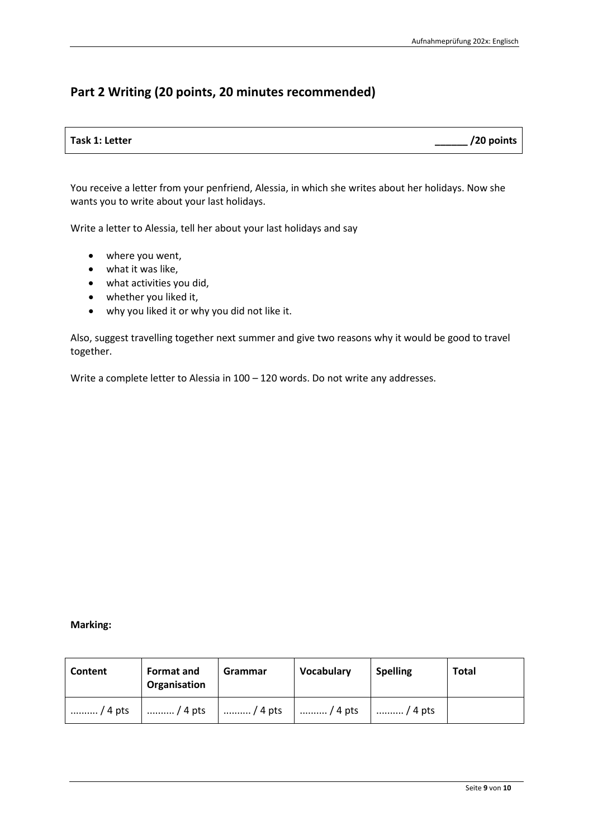## **Part 2 Writing (20 points, 20 minutes recommended)**

## **Task 1: Letter \_\_\_\_\_\_ /20 points**

You receive a letter from your penfriend, Alessia, in which she writes about her holidays. Now she wants you to write about your last holidays.

Write a letter to Alessia, tell her about your last holidays and say

- where you went,
- what it was like,
- what activities you did,
- whether you liked it,
- why you liked it or why you did not like it.

Also, suggest travelling together next summer and give two reasons why it would be good to travel together.

Write a complete letter to Alessia in 100 – 120 words. Do not write any addresses.

#### **Marking:**

| Content          | <b>Format and</b><br>Organisation | Grammar | Vocabulary | <b>Spelling</b> | <b>Total</b> |
|------------------|-----------------------------------|---------|------------|-----------------|--------------|
| $\ldots$ / 4 pts | / 4 pts                           | / 4 pts | / 4 pts    | $1$ / 4 pts     |              |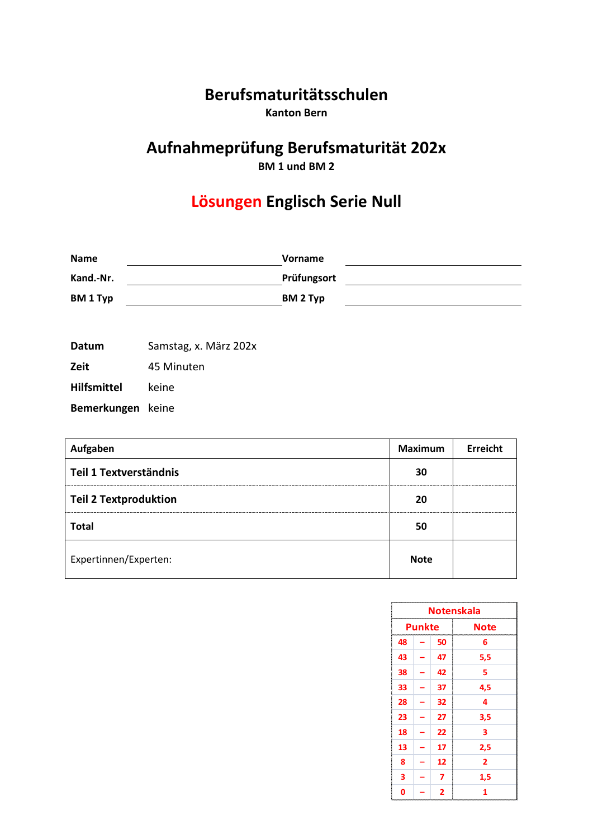## **Berufsmaturitätsschulen**

**Kanton Bern**

# **Aufnahmeprüfung Berufsmaturität 202x**

**BM 1 und BM 2**

# **Lösungen Englisch Serie Null**

| Name            | <b>Vorname</b>  |
|-----------------|-----------------|
| Kand.-Nr.       | Prüfungsort     |
| <b>BM 1 Typ</b> | <b>BM 2 Typ</b> |

**Zeit** 45 Minuten

**Hilfsmittel** keine

**Bemerkungen** keine

| Aufgaben                     | <b>Maximum</b> | <b>Erreicht</b> |
|------------------------------|----------------|-----------------|
| Teil 1 Textverständnis       |                |                 |
| <b>Teil 2 Textproduktion</b> |                |                 |
| <b>Total</b>                 |                |                 |
| Expertinnen/Experten:        | <b>Note</b>    |                 |

| <b>Notenskala</b> |        |    |                |
|-------------------|--------|----|----------------|
|                   | Punkte |    | Note           |
| 48                |        | 50 | 6              |
| 43                |        | 47 | 5,5            |
| 38                |        | 42 | 5              |
| 33                |        | 37 | 4,5            |
| 28                |        | 32 | 4              |
| 23                |        | 27 | 3,5            |
| 18                |        | 22 | 3              |
| 13                |        | 17 | 2,5            |
| 8                 |        | 12 | $\overline{2}$ |
| 3                 |        | 7  | 1,5            |
| 0                 |        | 2  | 1              |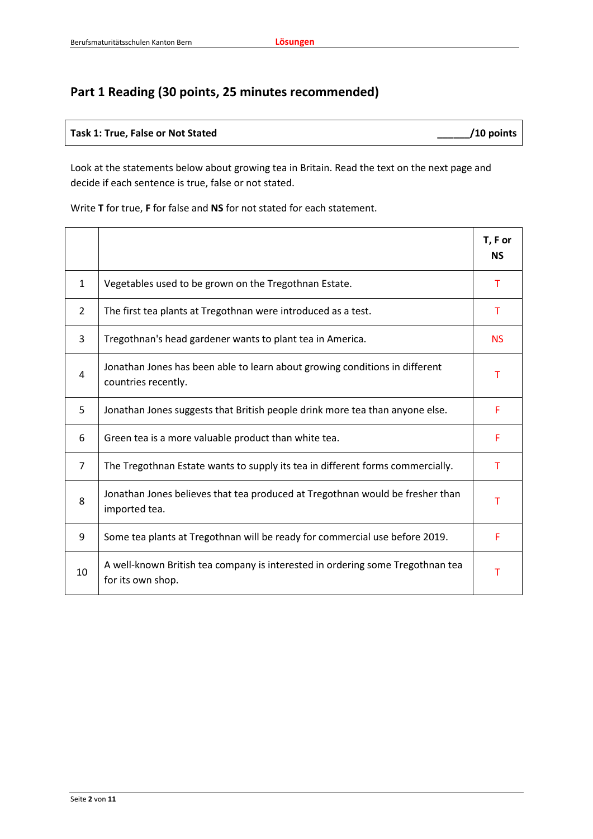## **Part 1 Reading (30 points, 25 minutes recommended)**

### **Task 1: True, False or Not Stated \_\_\_\_\_\_/10 points**

Look at the statements below about growing tea in Britain. Read the text on the next page and decide if each sentence is true, false or not stated.

Write **T** for true, **F** for false and **NS** for not stated for each statement.

|                |                                                                                                     | T, F or<br><b>NS</b> |
|----------------|-----------------------------------------------------------------------------------------------------|----------------------|
| $\mathbf{1}$   | Vegetables used to be grown on the Tregothnan Estate.                                               | т                    |
| $\overline{2}$ | The first tea plants at Tregothnan were introduced as a test.                                       | Т                    |
| 3              | Tregothnan's head gardener wants to plant tea in America.                                           | <b>NS</b>            |
| 4              | Jonathan Jones has been able to learn about growing conditions in different<br>countries recently.  | т                    |
| 5              | Jonathan Jones suggests that British people drink more tea than anyone else.                        | F                    |
| 6              | Green tea is a more valuable product than white tea.                                                | F                    |
| 7              | The Tregothnan Estate wants to supply its tea in different forms commercially.                      | т                    |
| 8              | Jonathan Jones believes that tea produced at Tregothnan would be fresher than<br>imported tea.      | т                    |
| 9              | Some tea plants at Tregothnan will be ready for commercial use before 2019.                         | F                    |
| 10             | A well-known British tea company is interested in ordering some Tregothnan tea<br>for its own shop. | т                    |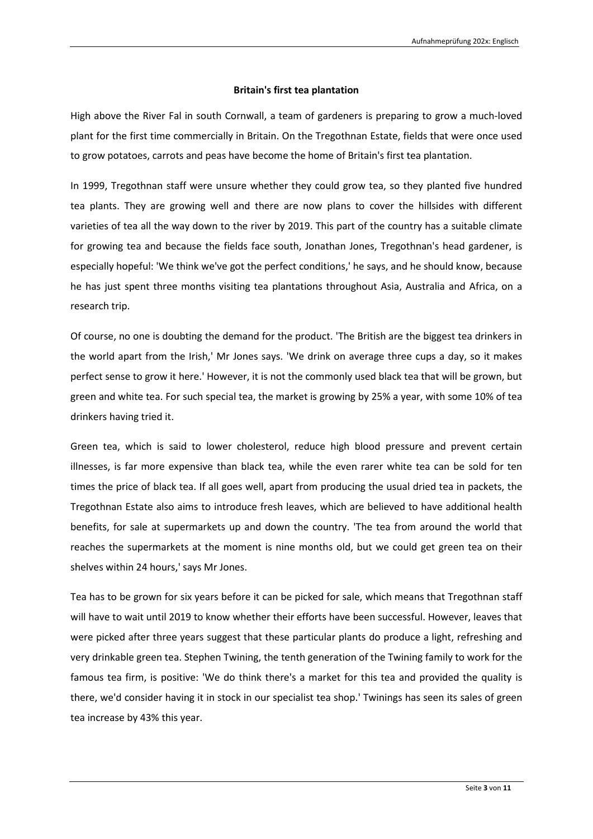#### **Britain's first tea plantation**

High above the River Fal in south Cornwall, a team of gardeners is preparing to grow a much-loved plant for the first time commercially in Britain. On the Tregothnan Estate, fields that were once used to grow potatoes, carrots and peas have become the home of Britain's first tea plantation.

In 1999, Tregothnan staff were unsure whether they could grow tea, so they planted five hundred tea plants. They are growing well and there are now plans to cover the hillsides with different varieties of tea all the way down to the river by 2019. This part of the country has a suitable climate for growing tea and because the fields face south, Jonathan Jones, Tregothnan's head gardener, is especially hopeful: 'We think we've got the perfect conditions,' he says, and he should know, because he has just spent three months visiting tea plantations throughout Asia, Australia and Africa, on a research trip.

Of course, no one is doubting the demand for the product. 'The British are the biggest tea drinkers in the world apart from the Irish,' Mr Jones says. 'We drink on average three cups a day, so it makes perfect sense to grow it here.' However, it is not the commonly used black tea that will be grown, but green and white tea. For such special tea, the market is growing by 25% a year, with some 10% of tea drinkers having tried it.

Green tea, which is said to lower cholesterol, reduce high blood pressure and prevent certain illnesses, is far more expensive than black tea, while the even rarer white tea can be sold for ten times the price of black tea. If all goes well, apart from producing the usual dried tea in packets, the Tregothnan Estate also aims to introduce fresh leaves, which are believed to have additional health benefits, for sale at supermarkets up and down the country. 'The tea from around the world that reaches the supermarkets at the moment is nine months old, but we could get green tea on their shelves within 24 hours,' says Mr Jones.

Tea has to be grown for six years before it can be picked for sale, which means that Tregothnan staff will have to wait until 2019 to know whether their efforts have been successful. However, leaves that were picked after three years suggest that these particular plants do produce a light, refreshing and very drinkable green tea. Stephen Twining, the tenth generation of the Twining family to work for the famous tea firm, is positive: 'We do think there's a market for this tea and provided the quality is there, we'd consider having it in stock in our specialist tea shop.' Twinings has seen its sales of green tea increase by 43% this year.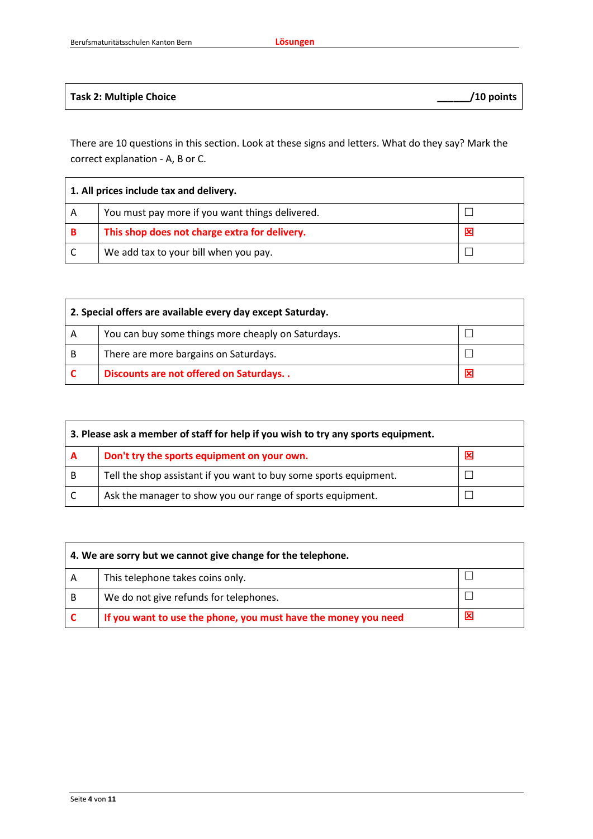| Task 2: Multiple Choice | $\frac{1}{2}$ 10 points |
|-------------------------|-------------------------|
|-------------------------|-------------------------|

There are 10 questions in this section. Look at these signs and letters. What do they say? Mark the correct explanation - A, B or C.

| 1. All prices include tax and delivery. |                                                 |   |  |
|-----------------------------------------|-------------------------------------------------|---|--|
| $\overline{A}$                          | You must pay more if you want things delivered. |   |  |
| B                                       | This shop does not charge extra for delivery.   | 区 |  |
|                                         | We add tax to your bill when you pay.           |   |  |

| 2. Special offers are available every day except Saturday. |                                                    |   |  |
|------------------------------------------------------------|----------------------------------------------------|---|--|
| $\overline{A}$                                             | You can buy some things more cheaply on Saturdays. |   |  |
| B                                                          | There are more bargains on Saturdays.              |   |  |
|                                                            | Discounts are not offered on Saturdays             | ⊠ |  |

| 3. Please ask a member of staff for help if you wish to try any sports equipment. |                                                                   |   |  |  |  |  |
|-----------------------------------------------------------------------------------|-------------------------------------------------------------------|---|--|--|--|--|
| A                                                                                 | Don't try the sports equipment on your own.                       | x |  |  |  |  |
| B                                                                                 | Tell the shop assistant if you want to buy some sports equipment. |   |  |  |  |  |
|                                                                                   | Ask the manager to show you our range of sports equipment.        |   |  |  |  |  |

| 4. We are sorry but we cannot give change for the telephone. |                                                                     |  |  |  |
|--------------------------------------------------------------|---------------------------------------------------------------------|--|--|--|
| Α                                                            | This telephone takes coins only.                                    |  |  |  |
| B                                                            | We do not give refunds for telephones.                              |  |  |  |
| C                                                            | ⊠<br>If you want to use the phone, you must have the money you need |  |  |  |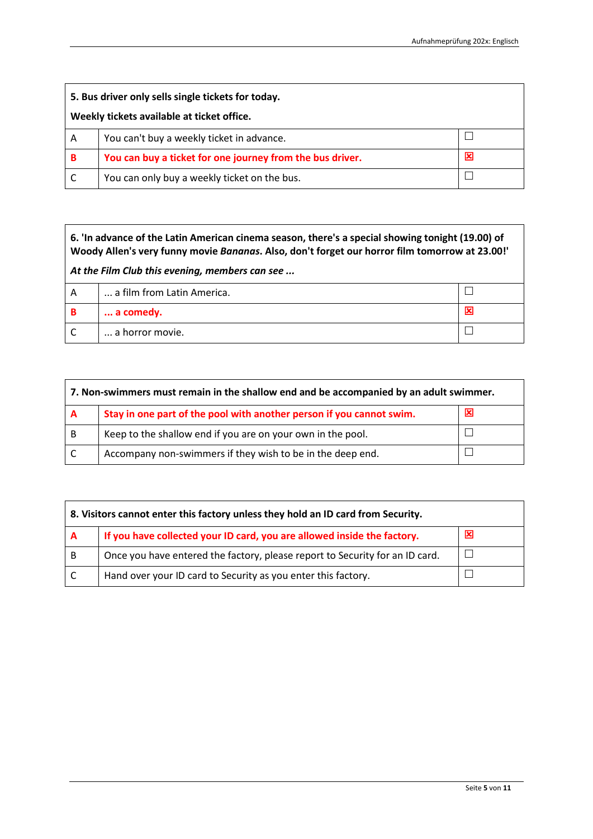| 5. Bus driver only sells single tickets for today. |                                                           |             |  |
|----------------------------------------------------|-----------------------------------------------------------|-------------|--|
| Weekly tickets available at ticket office.         |                                                           |             |  |
| A                                                  | You can't buy a weekly ticket in advance.                 |             |  |
| B                                                  | You can buy a ticket for one journey from the bus driver. | $\mathbf x$ |  |
|                                                    | You can only buy a weekly ticket on the bus.              |             |  |

| 6. In advance of the Latin American cinema season, there's a special showing tonight (19.00) of<br>Woody Allen's very funny movie Bananas. Also, don't forget our horror film tomorrow at 23.00!'<br>At the Film Club this evening, members can see |                            |   |  |  |  |
|-----------------------------------------------------------------------------------------------------------------------------------------------------------------------------------------------------------------------------------------------------|----------------------------|---|--|--|--|
| $\overline{A}$                                                                                                                                                                                                                                      | a film from Latin America. |   |  |  |  |
| B                                                                                                                                                                                                                                                   | a comedy.                  | 図 |  |  |  |
|                                                                                                                                                                                                                                                     | a horror movie.            |   |  |  |  |

| 7. Non-swimmers must remain in the shallow end and be accompanied by an adult swimmer. |                                                                      |   |  |
|----------------------------------------------------------------------------------------|----------------------------------------------------------------------|---|--|
| $\mathbf{A}$                                                                           | Stay in one part of the pool with another person if you cannot swim. | 図 |  |
| B                                                                                      | Keep to the shallow end if you are on your own in the pool.          |   |  |
| C                                                                                      | Accompany non-swimmers if they wish to be in the deep end.           |   |  |

| 8. Visitors cannot enter this factory unless they hold an ID card from Security. |                                                                              |   |  |
|----------------------------------------------------------------------------------|------------------------------------------------------------------------------|---|--|
| $\mathbf{A}$                                                                     | If you have collected your ID card, you are allowed inside the factory.      | 区 |  |
| B                                                                                | Once you have entered the factory, please report to Security for an ID card. |   |  |
| ı C                                                                              | Hand over your ID card to Security as you enter this factory.                |   |  |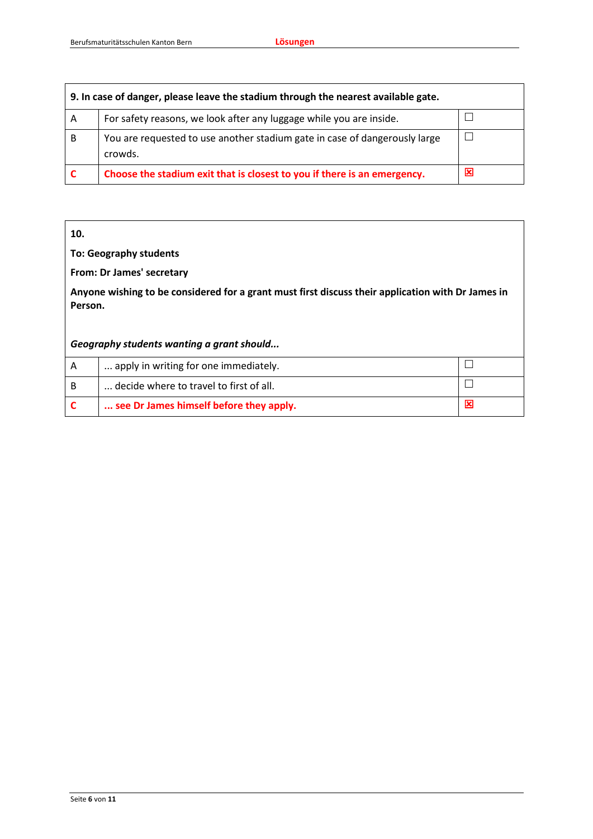| 9. In case of danger, please leave the stadium through the nearest available gate. |                                                                                       |   |  |
|------------------------------------------------------------------------------------|---------------------------------------------------------------------------------------|---|--|
| Α                                                                                  | For safety reasons, we look after any luggage while you are inside.                   |   |  |
| B                                                                                  | You are requested to use another stadium gate in case of dangerously large<br>crowds. |   |  |
|                                                                                    | Choose the stadium exit that is closest to you if there is an emergency.              | 図 |  |

## **10.**

## **To: Geography students**

## **From: Dr James' secretary**

**Anyone wishing to be considered for a grant must first discuss their application with Dr James in Person.** 

## *Geography students wanting a grant should...*

|   | apply in writing for one immediately.   |  |
|---|-----------------------------------------|--|
| B | decide where to travel to first of all. |  |
|   | see Dr James himself before they apply. |  |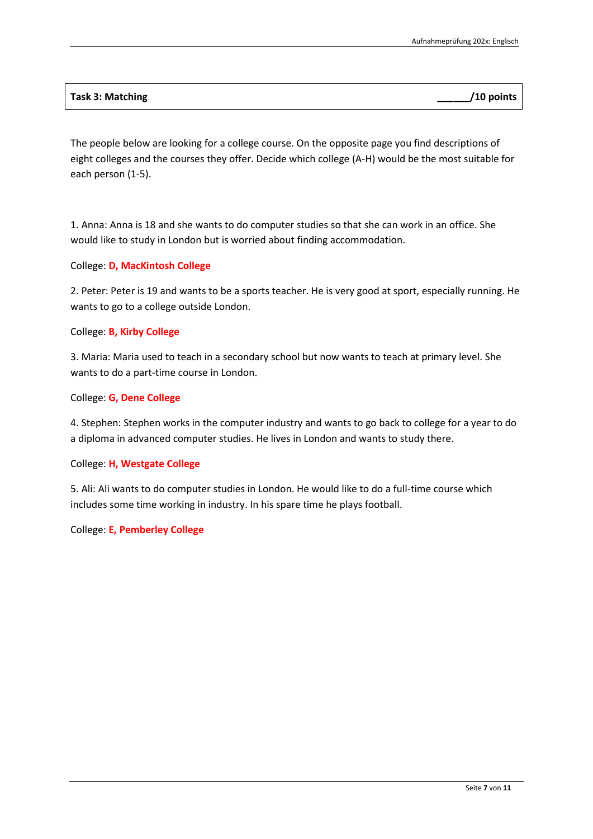## **Task 3: Matching**  *Matching* **<b>***Matching Matching Matching**<b>Matching <i>Matching Matching**Matching**Matching**Matching**Matching**Matching**Matching**Matching**Matching**Matching**Matching**Matc*

The people below are looking for a college course. On the opposite page you find descriptions of eight colleges and the courses they offer. Decide which college (A-H) would be the most suitable for each person (1-5).

1. Anna: Anna is 18 and she wants to do computer studies so that she can work in an office. She would like to study in London but is worried about finding accommodation.

### College: **D, MacKintosh College**

2. Peter: Peter is 19 and wants to be a sports teacher. He is very good at sport, especially running. He wants to go to a college outside London.

### College: **B, Kirby College**

3. Maria: Maria used to teach in a secondary school but now wants to teach at primary level. She wants to do a part-time course in London.

#### College: **G, Dene College**

4. Stephen: Stephen works in the computer industry and wants to go back to college for a year to do a diploma in advanced computer studies. He lives in London and wants to study there.

### College: **H, Westgate College**

5. Ali: Ali wants to do computer studies in London. He would like to do a full-time course which includes some time working in industry. In his spare time he plays football.

### College: **E, Pemberley College**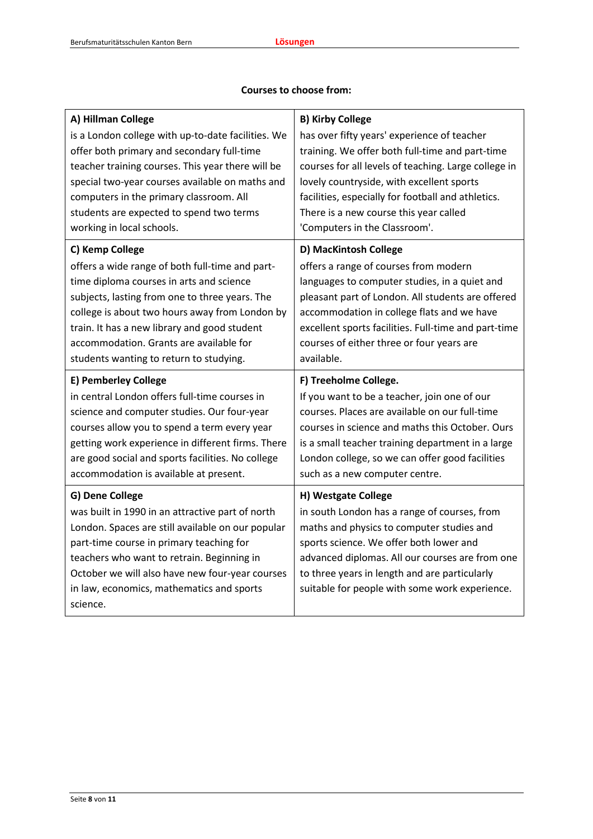| <b>Courses to choose from:</b> |  |  |  |
|--------------------------------|--|--|--|
|--------------------------------|--|--|--|

| A) Hillman College                                 | <b>B) Kirby College</b>                              |
|----------------------------------------------------|------------------------------------------------------|
| is a London college with up-to-date facilities. We | has over fifty years' experience of teacher          |
| offer both primary and secondary full-time         | training. We offer both full-time and part-time      |
| teacher training courses. This year there will be  | courses for all levels of teaching. Large college in |
| special two-year courses available on maths and    | lovely countryside, with excellent sports            |
| computers in the primary classroom. All            | facilities, especially for football and athletics.   |
| students are expected to spend two terms           | There is a new course this year called               |
| working in local schools.                          | 'Computers in the Classroom'.                        |
| C) Kemp College                                    | D) MacKintosh College                                |
| offers a wide range of both full-time and part-    | offers a range of courses from modern                |
| time diploma courses in arts and science           | languages to computer studies, in a quiet and        |
| subjects, lasting from one to three years. The     | pleasant part of London. All students are offered    |
| college is about two hours away from London by     | accommodation in college flats and we have           |
| train. It has a new library and good student       | excellent sports facilities. Full-time and part-time |
| accommodation. Grants are available for            | courses of either three or four years are            |
| students wanting to return to studying.            | available.                                           |
|                                                    |                                                      |
| <b>E) Pemberley College</b>                        | F) Treeholme College.                                |
| in central London offers full-time courses in      | If you want to be a teacher, join one of our         |
| science and computer studies. Our four-year        | courses. Places are available on our full-time       |
| courses allow you to spend a term every year       | courses in science and maths this October. Ours      |
| getting work experience in different firms. There  | is a small teacher training department in a large    |
| are good social and sports facilities. No college  | London college, so we can offer good facilities      |
| accommodation is available at present.             | such as a new computer centre.                       |
| G) Dene College                                    | H) Westgate College                                  |
| was built in 1990 in an attractive part of north   | in south London has a range of courses, from         |
| London. Spaces are still available on our popular  | maths and physics to computer studies and            |
| part-time course in primary teaching for           | sports science. We offer both lower and              |
| teachers who want to retrain. Beginning in         | advanced diplomas. All our courses are from one      |
| October we will also have new four-year courses    | to three years in length and are particularly        |
| in law, economics, mathematics and sports          | suitable for people with some work experience.       |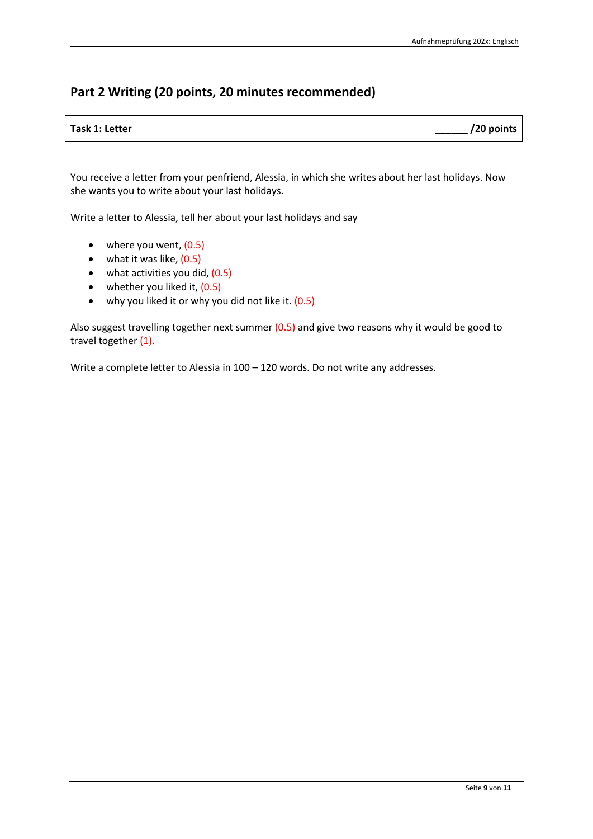## **Part 2 Writing (20 points, 20 minutes recommended)**

### **Task 1: Letter \_\_\_\_\_\_ /20 points**

You receive a letter from your penfriend, Alessia, in which she writes about her last holidays. Now she wants you to write about your last holidays.

Write a letter to Alessia, tell her about your last holidays and say

- where you went, (0.5)
- what it was like, (0.5)
- $\bullet$  what activities you did,  $(0.5)$
- whether you liked it,  $(0.5)$
- why you liked it or why you did not like it. (0.5)

Also suggest travelling together next summer (0.5) and give two reasons why it would be good to travel together (1).

Write a complete letter to Alessia in 100 – 120 words. Do not write any addresses.